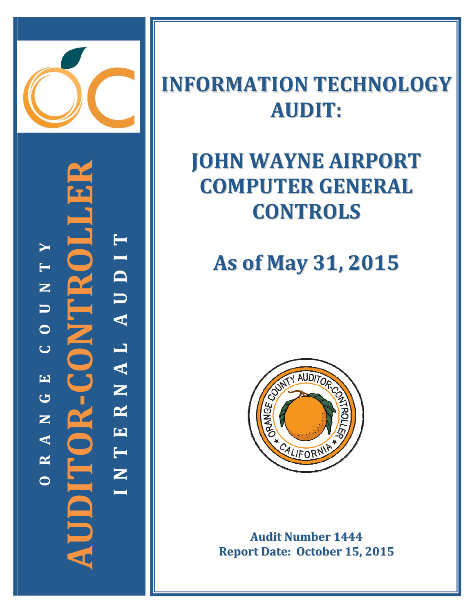

**‐CONTROLLER TYI T** PT. **D N U**  $O$   $R$  -  $C$   $O$   $N$   $T$ **U A O L C A EN G R AUDITOR N E A T R NICI**N **N OI**

### **INFORMATION TECHNOLOGY AUDIT:**

## **JOHN WAYNE AIRPORT COMPUTER GENERAL CONTROLS**

# **As of May 31, 2015**



**Audit Number 1444 Report Date: October 15, 2015**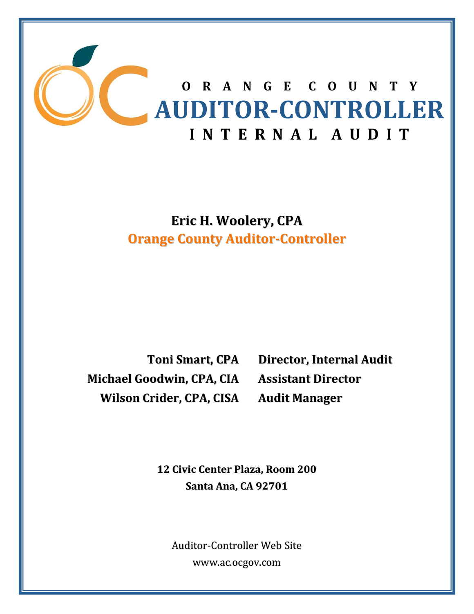

### **Eric H. Woolery, CPA Orange County Auditor‐Controller**

**Michael Goodwin, CPA, CIA Wilson Crider, CPA, CISA**

**Toni Smart, CPA Director, Internal Audit Assistant Director Audit Manager**

**12 Civic Center Plaza, Room 200 Santa Ana, CA 92701**

Auditor‐Controller Web Site www.ac.ocgov.com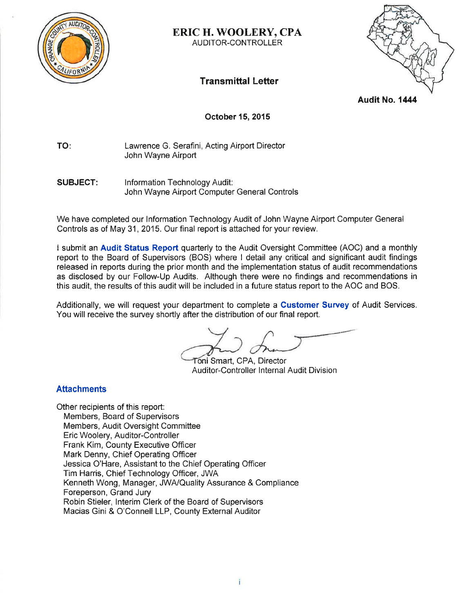

#### **ERIC H. WOOLERY, CPA** AUDITOR-CONTROLLER

**Transmittal Letter** 

Audit No. 1444

#### **October 15, 2015**

TO: Lawrence G. Serafini, Acting Airport Director John Wayne Airport

Information Technology Audit: **SUBJECT:** John Wayne Airport Computer General Controls

We have completed our Information Technology Audit of John Wayne Airport Computer General Controls as of May 31, 2015. Our final report is attached for your review.

I submit an Audit Status Report quarterly to the Audit Oversight Committee (AOC) and a monthly report to the Board of Supervisors (BOS) where I detail any critical and significant audit findings released in reports during the prior month and the implementation status of audit recommendations as disclosed by our Follow-Up Audits. Although there were no findings and recommendations in this audit, the results of this audit will be included in a future status report to the AOC and BOS.

Additionally, we will request your department to complete a Customer Survey of Audit Services. You will receive the survey shortly after the distribution of our final report.

Toni Smart, CPA, Director Auditor-Controller Internal Audit Division

#### **Attachments**

Other recipients of this report: Members, Board of Supervisors Members, Audit Oversight Committee Eric Woolery, Auditor-Controller Frank Kim, County Executive Officer Mark Denny, Chief Operating Officer Jessica O'Hare, Assistant to the Chief Operating Officer Tim Harris, Chief Technology Officer, JWA Kenneth Wong, Manager, JWA/Quality Assurance & Compliance Foreperson, Grand Jury Robin Stieler, Interim Clerk of the Board of Supervisors Macias Gini & O'Connell LLP, County External Auditor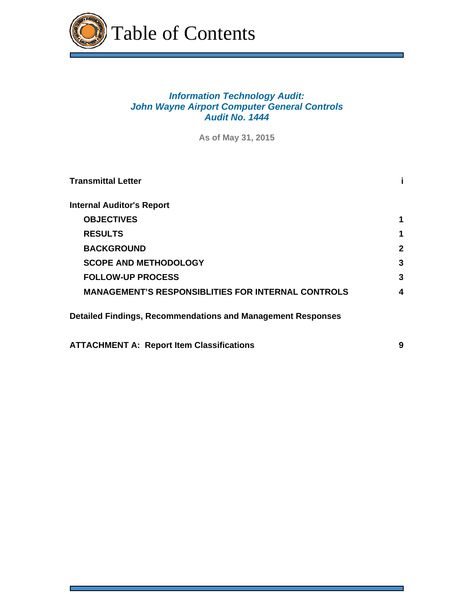

### *Information Technology Audit: John Wayne Airport Computer General Controls Audit No. 1444*

**As of May 31, 2015**

| <b>Transmittal Letter</b>                                          |              |
|--------------------------------------------------------------------|--------------|
| <b>Internal Auditor's Report</b>                                   |              |
| <b>OBJECTIVES</b>                                                  | 1            |
| <b>RESULTS</b>                                                     | 1            |
| <b>BACKGROUND</b>                                                  | $\mathbf{2}$ |
| <b>SCOPE AND METHODOLOGY</b>                                       | 3            |
| <b>FOLLOW-UP PROCESS</b>                                           | 3            |
| <b>MANAGEMENT'S RESPONSIBLITIES FOR INTERNAL CONTROLS</b>          | 4            |
| <b>Detailed Findings, Recommendations and Management Responses</b> |              |
| <b>ATTACHMENT A: Report Item Classifications</b>                   | 9            |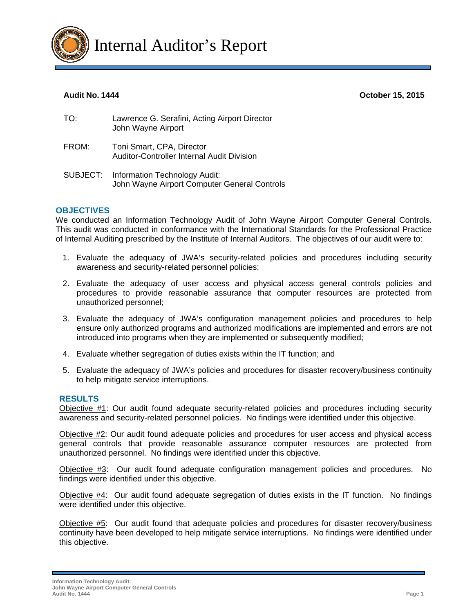

**Audit No. 1444 October 15, 2015** 

| TO:   | Lawrence G. Serafini, Acting Airport Director<br>John Wayne Airport |
|-------|---------------------------------------------------------------------|
| FROM: | Toni Smart, CPA, Director                                           |

- Auditor-Controller Internal Audit Division
- SUBJECT: Information Technology Audit: John Wayne Airport Computer General Controls

#### **OBJECTIVES**

We conducted an Information Technology Audit of John Wayne Airport Computer General Controls. This audit was conducted in conformance with the International Standards for the Professional Practice of Internal Auditing prescribed by the Institute of Internal Auditors. The objectives of our audit were to:

- 1. Evaluate the adequacy of JWA's security-related policies and procedures including security awareness and security-related personnel policies;
- 2. Evaluate the adequacy of user access and physical access general controls policies and procedures to provide reasonable assurance that computer resources are protected from unauthorized personnel;
- 3. Evaluate the adequacy of JWA's configuration management policies and procedures to help ensure only authorized programs and authorized modifications are implemented and errors are not introduced into programs when they are implemented or subsequently modified;
- 4. Evaluate whether segregation of duties exists within the IT function; and
- 5. Evaluate the adequacy of JWA's policies and procedures for disaster recovery/business continuity to help mitigate service interruptions.

#### **RESULTS**

Objective #1: Our audit found adequate security-related policies and procedures including security awareness and security-related personnel policies. No findings were identified under this objective.

Objective #2: Our audit found adequate policies and procedures for user access and physical access general controls that provide reasonable assurance computer resources are protected from unauthorized personnel. No findings were identified under this objective.

Objective #3: Our audit found adequate configuration management policies and procedures. No findings were identified under this objective.

Objective #4: Our audit found adequate segregation of duties exists in the IT function. No findings were identified under this objective.

Objective #5: Our audit found that adequate policies and procedures for disaster recovery/business continuity have been developed to help mitigate service interruptions. No findings were identified under this objective.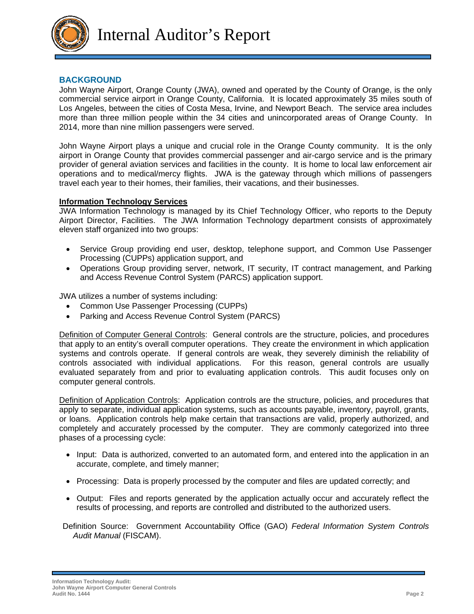

Internal Auditor's Report

#### **BACKGROUND**

John Wayne Airport, Orange County (JWA), owned and operated by the County of Orange, is the only commercial service airport in Orange County, California. It is located approximately 35 miles south of Los Angeles, between the cities of Costa Mesa, Irvine, and Newport Beach. The service area includes more than three million people within the 34 cities and unincorporated areas of Orange County. In 2014, more than nine million passengers were served.

John Wayne Airport plays a unique and crucial role in the Orange County community. It is the only airport in Orange County that provides commercial passenger and air-cargo service and is the primary provider of general aviation services and facilities in the county. It is home to local law enforcement air operations and to medical/mercy flights. JWA is the gateway through which millions of passengers travel each year to their homes, their families, their vacations, and their businesses.

#### **Information Technology Services**

JWA Information Technology is managed by its Chief Technology Officer, who reports to the Deputy Airport Director, Facilities. The JWA Information Technology department consists of approximately eleven staff organized into two groups:

- Service Group providing end user, desktop, telephone support, and Common Use Passenger Processing (CUPPs) application support, and
- Operations Group providing server, network, IT security, IT contract management, and Parking and Access Revenue Control System (PARCS) application support.

JWA utilizes a number of systems including:

- Common Use Passenger Processing (CUPPs)
- Parking and Access Revenue Control System (PARCS)

Definition of Computer General Controls: General controls are the structure, policies, and procedures that apply to an entity's overall computer operations. They create the environment in which application systems and controls operate. If general controls are weak, they severely diminish the reliability of controls associated with individual applications. For this reason, general controls are usually evaluated separately from and prior to evaluating application controls. This audit focuses only on computer general controls.

Definition of Application Controls: Application controls are the structure, policies, and procedures that apply to separate, individual application systems, such as accounts payable, inventory, payroll, grants, or loans. Application controls help make certain that transactions are valid, properly authorized, and completely and accurately processed by the computer. They are commonly categorized into three phases of a processing cycle:

- Input: Data is authorized, converted to an automated form, and entered into the application in an accurate, complete, and timely manner;
- Processing: Data is properly processed by the computer and files are updated correctly; and
- Output: Files and reports generated by the application actually occur and accurately reflect the results of processing, and reports are controlled and distributed to the authorized users.
- Definition Source: Government Accountability Office (GAO) *Federal Information System Controls Audit Manual* (FISCAM).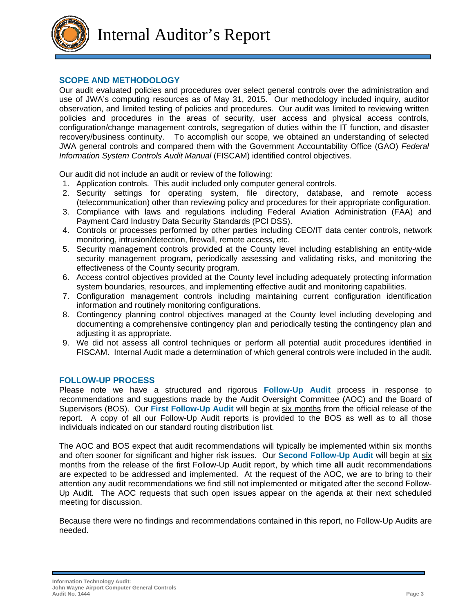

Internal Auditor's Report

#### **SCOPE AND METHODOLOGY**

Our audit evaluated policies and procedures over select general controls over the administration and use of JWA's computing resources as of May 31, 2015. Our methodology included inquiry, auditor observation, and limited testing of policies and procedures. Our audit was limited to reviewing written policies and procedures in the areas of security, user access and physical access controls, configuration/change management controls, segregation of duties within the IT function, and disaster recovery/business continuity. To accomplish our scope, we obtained an understanding of selected JWA general controls and compared them with the Government Accountability Office (GAO) *Federal Information System Controls Audit Manual* (FISCAM) identified control objectives.

Our audit did not include an audit or review of the following:

- 1. Application controls. This audit included only computer general controls.
- 2. Security settings for operating system, file directory, database, and remote access (telecommunication) other than reviewing policy and procedures for their appropriate configuration.
- 3. Compliance with laws and regulations including Federal Aviation Administration (FAA) and Payment Card Industry Data Security Standards (PCI DSS).
- 4. Controls or processes performed by other parties including CEO/IT data center controls, network monitoring, intrusion/detection, firewall, remote access, etc.
- 5. Security management controls provided at the County level including establishing an entity-wide security management program, periodically assessing and validating risks, and monitoring the effectiveness of the County security program.
- 6. Access control objectives provided at the County level including adequately protecting information system boundaries, resources, and implementing effective audit and monitoring capabilities.
- 7. Configuration management controls including maintaining current configuration identification information and routinely monitoring configurations.
- 8. Contingency planning control objectives managed at the County level including developing and documenting a comprehensive contingency plan and periodically testing the contingency plan and adjusting it as appropriate.
- 9. We did not assess all control techniques or perform all potential audit procedures identified in FISCAM. Internal Audit made a determination of which general controls were included in the audit.

#### **FOLLOW-UP PROCESS**

Please note we have a structured and rigorous **Follow-Up Audit** process in response to recommendations and suggestions made by the Audit Oversight Committee (AOC) and the Board of Supervisors (BOS). Our **First Follow-Up Audit** will begin at six months from the official release of the report. A copy of all our Follow-Up Audit reports is provided to the BOS as well as to all those individuals indicated on our standard routing distribution list.

The AOC and BOS expect that audit recommendations will typically be implemented within six months and often sooner for significant and higher risk issues. Our **Second Follow-Up Audit** will begin at six months from the release of the first Follow-Up Audit report, by which time **all** audit recommendations are expected to be addressed and implemented. At the request of the AOC, we are to bring to their attention any audit recommendations we find still not implemented or mitigated after the second Follow-Up Audit. The AOC requests that such open issues appear on the agenda at their next scheduled meeting for discussion.

Because there were no findings and recommendations contained in this report, no Follow-Up Audits are needed.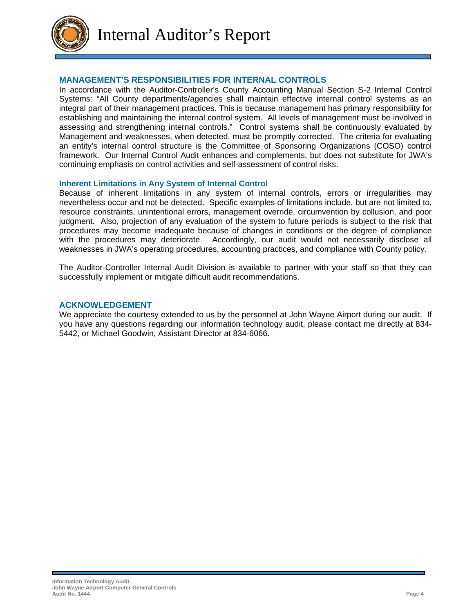

Internal Auditor's Report

#### **MANAGEMENT'S RESPONSIBILITIES FOR INTERNAL CONTROLS**

In accordance with the Auditor-Controller's County Accounting Manual Section S-2 Internal Control Systems: "All County departments/agencies shall maintain effective internal control systems as an integral part of their management practices. This is because management has primary responsibility for establishing and maintaining the internal control system. All levels of management must be involved in assessing and strengthening internal controls." Control systems shall be continuously evaluated by Management and weaknesses, when detected, must be promptly corrected. The criteria for evaluating an entity's internal control structure is the Committee of Sponsoring Organizations (COSO) control framework. Our Internal Control Audit enhances and complements, but does not substitute for JWA's continuing emphasis on control activities and self-assessment of control risks.

#### **Inherent Limitations in Any System of Internal Control**

Because of inherent limitations in any system of internal controls, errors or irregularities may nevertheless occur and not be detected. Specific examples of limitations include, but are not limited to, resource constraints, unintentional errors, management override, circumvention by collusion, and poor judgment. Also, projection of any evaluation of the system to future periods is subject to the risk that procedures may become inadequate because of changes in conditions or the degree of compliance with the procedures may deteriorate. Accordingly, our audit would not necessarily disclose all weaknesses in JWA's operating procedures, accounting practices, and compliance with County policy.

The Auditor-Controller Internal Audit Division is available to partner with your staff so that they can successfully implement or mitigate difficult audit recommendations.

#### **ACKNOWLEDGEMENT**

We appreciate the courtesy extended to us by the personnel at John Wayne Airport during our audit. If you have any questions regarding our information technology audit, please contact me directly at 834- 5442, or Michael Goodwin, Assistant Director at 834-6066.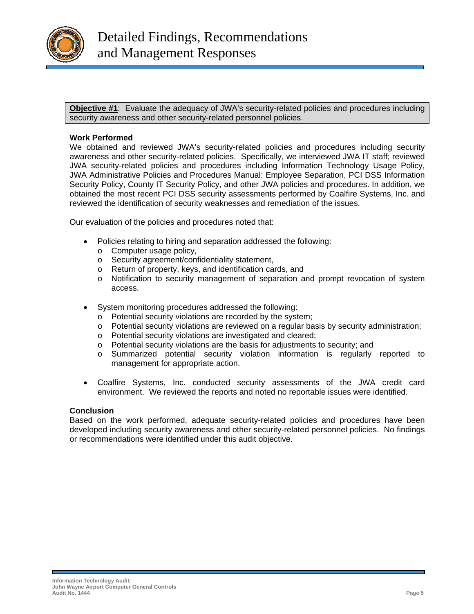

**Objective #1**: Evaluate the adequacy of JWA's security-related policies and procedures including security awareness and other security-related personnel policies.

#### **Work Performed**

We obtained and reviewed JWA's security-related policies and procedures including security awareness and other security-related policies. Specifically, we interviewed JWA IT staff; reviewed JWA security-related policies and procedures including Information Technology Usage Policy, JWA Administrative Policies and Procedures Manual: Employee Separation, PCI DSS Information Security Policy, County IT Security Policy, and other JWA policies and procedures. In addition, we obtained the most recent PCI DSS security assessments performed by Coalfire Systems, Inc. and reviewed the identification of security weaknesses and remediation of the issues.

Our evaluation of the policies and procedures noted that:

- Policies relating to hiring and separation addressed the following:
	- o Computer usage policy,
	- o Security agreement/confidentiality statement,
	- o Return of property, keys, and identification cards, and
	- o Notification to security management of separation and prompt revocation of system access.
- System monitoring procedures addressed the following:
	- o Potential security violations are recorded by the system;
	- o Potential security violations are reviewed on a regular basis by security administration;
	- o Potential security violations are investigated and cleared;
	- o Potential security violations are the basis for adjustments to security; and
	- o Summarized potential security violation information is regularly reported to management for appropriate action.
- Coalfire Systems, Inc. conducted security assessments of the JWA credit card environment. We reviewed the reports and noted no reportable issues were identified.

#### **Conclusion**

Based on the work performed, adequate security-related policies and procedures have been developed including security awareness and other security-related personnel policies. No findings or recommendations were identified under this audit objective.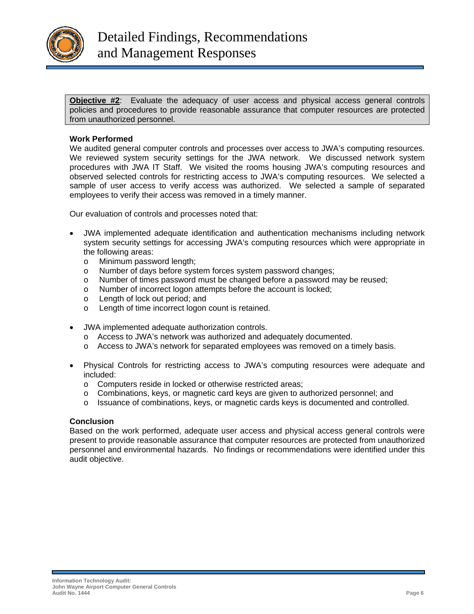

**Objective #2**: Evaluate the adequacy of user access and physical access general controls policies and procedures to provide reasonable assurance that computer resources are protected from unauthorized personnel.

#### **Work Performed**

We audited general computer controls and processes over access to JWA's computing resources. We reviewed system security settings for the JWA network. We discussed network system procedures with JWA IT Staff. We visited the rooms housing JWA's computing resources and observed selected controls for restricting access to JWA's computing resources. We selected a sample of user access to verify access was authorized. We selected a sample of separated employees to verify their access was removed in a timely manner.

Our evaluation of controls and processes noted that:

- JWA implemented adequate identification and authentication mechanisms including network system security settings for accessing JWA's computing resources which were appropriate in the following areas:
	- o Minimum password length;
	- o Number of days before system forces system password changes;
	- o Number of times password must be changed before a password may be reused;
	- o Number of incorrect logon attempts before the account is locked;
	- o Length of lock out period; and
	- o Length of time incorrect logon count is retained.
- JWA implemented adequate authorization controls.
	- o Access to JWA's network was authorized and adequately documented.
	- o Access to JWA's network for separated employees was removed on a timely basis.
- Physical Controls for restricting access to JWA's computing resources were adequate and included:
	- o Computers reside in locked or otherwise restricted areas;
	- $\circ$  Combinations, keys, or magnetic card keys are given to authorized personnel; and
	- o Issuance of combinations, keys, or magnetic cards keys is documented and controlled.

#### **Conclusion**

Based on the work performed, adequate user access and physical access general controls were present to provide reasonable assurance that computer resources are protected from unauthorized personnel and environmental hazards. No findings or recommendations were identified under this audit objective.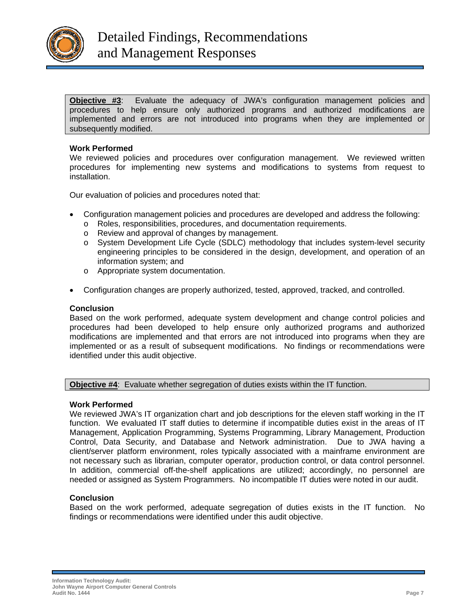

**Objective #3**: Evaluate the adequacy of JWA's configuration management policies and procedures to help ensure only authorized programs and authorized modifications are implemented and errors are not introduced into programs when they are implemented or subsequently modified.

#### **Work Performed**

We reviewed policies and procedures over configuration management. We reviewed written procedures for implementing new systems and modifications to systems from request to installation.

Our evaluation of policies and procedures noted that:

- Configuration management policies and procedures are developed and address the following:
	- o Roles, responsibilities, procedures, and documentation requirements.
	- o Review and approval of changes by management.
	- o System Development Life Cycle (SDLC) methodology that includes system-level security engineering principles to be considered in the design, development, and operation of an information system; and
	- o Appropriate system documentation.
- Configuration changes are properly authorized, tested, approved, tracked, and controlled.

#### **Conclusion**

Based on the work performed, adequate system development and change control policies and procedures had been developed to help ensure only authorized programs and authorized modifications are implemented and that errors are not introduced into programs when they are implemented or as a result of subsequent modifications. No findings or recommendations were identified under this audit objective.

**Objective #4**: Evaluate whether segregation of duties exists within the IT function.

#### **Work Performed**

We reviewed JWA's IT organization chart and job descriptions for the eleven staff working in the IT function. We evaluated IT staff duties to determine if incompatible duties exist in the areas of IT Management, Application Programming, Systems Programming, Library Management, Production Control, Data Security, and Database and Network administration. Due to JWA having a client/server platform environment, roles typically associated with a mainframe environment are not necessary such as librarian, computer operator, production control, or data control personnel. In addition, commercial off-the-shelf applications are utilized; accordingly, no personnel are needed or assigned as System Programmers. No incompatible IT duties were noted in our audit.

#### **Conclusion**

Based on the work performed, adequate segregation of duties exists in the IT function. No findings or recommendations were identified under this audit objective.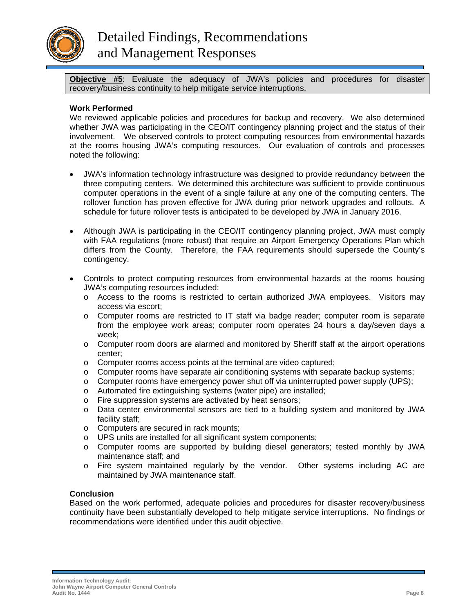

**Objective #5**: Evaluate the adequacy of JWA's policies and procedures for disaster recovery/business continuity to help mitigate service interruptions.

#### **Work Performed**

We reviewed applicable policies and procedures for backup and recovery. We also determined whether JWA was participating in the CEO/IT contingency planning project and the status of their involvement. We observed controls to protect computing resources from environmental hazards at the rooms housing JWA's computing resources. Our evaluation of controls and processes noted the following:

- JWA's information technology infrastructure was designed to provide redundancy between the three computing centers. We determined this architecture was sufficient to provide continuous computer operations in the event of a single failure at any one of the computing centers. The rollover function has proven effective for JWA during prior network upgrades and rollouts. A schedule for future rollover tests is anticipated to be developed by JWA in January 2016.
- Although JWA is participating in the CEO/IT contingency planning project, JWA must comply with FAA regulations (more robust) that require an Airport Emergency Operations Plan which differs from the County. Therefore, the FAA requirements should supersede the County's contingency.
- Controls to protect computing resources from environmental hazards at the rooms housing JWA's computing resources included:
	- o Access to the rooms is restricted to certain authorized JWA employees. Visitors may access via escort;
	- o Computer rooms are restricted to IT staff via badge reader; computer room is separate from the employee work areas; computer room operates 24 hours a day/seven days a week;
	- $\circ$  Computer room doors are alarmed and monitored by Sheriff staff at the airport operations center;
	- o Computer rooms access points at the terminal are video captured;
	- o Computer rooms have separate air conditioning systems with separate backup systems;
	- $\circ$  Computer rooms have emergency power shut off via uninterrupted power supply (UPS);
	- o Automated fire extinguishing systems (water pipe) are installed;
	- o Fire suppression systems are activated by heat sensors;
	- o Data center environmental sensors are tied to a building system and monitored by JWA facility staff;
	- o Computers are secured in rack mounts;
	- o UPS units are installed for all significant system components;
	- o Computer rooms are supported by building diesel generators; tested monthly by JWA maintenance staff; and
	- o Fire system maintained regularly by the vendor. Other systems including AC are maintained by JWA maintenance staff.

#### **Conclusion**

Based on the work performed, adequate policies and procedures for disaster recovery/business continuity have been substantially developed to help mitigate service interruptions. No findings or recommendations were identified under this audit objective.